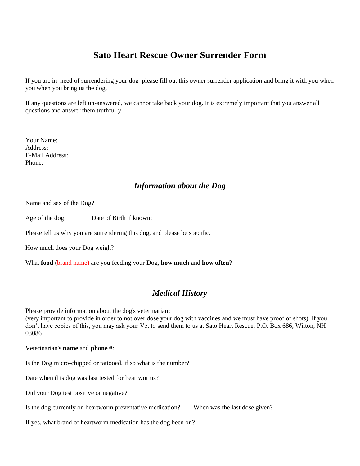# **Sato Heart Rescue Owner Surrender Form**

If you are in need of surrendering your dog please fill out this owner surrender application and bring it with you when you when you bring us the dog.

If any questions are left un-answered, we cannot take back your dog. It is extremely important that you answer all questions and answer them truthfully.

Your Name: Address: E-Mail Address: Phone:

## *Information about the Dog*

Name and sex of the Dog?

Age of the dog: Date of Birth if known:

Please tell us why you are surrendering this dog, and please be specific.

How much does your Dog weigh?

What **food** (brand name) are you feeding your Dog, **how much** and **how often**?

#### *Medical History*

Please provide information about the dog's veterinarian: (very important to provide in order to not over dose your dog with vaccines and we must have proof of shots) If you don't have copies of this, you may ask your Vet to send them to us at Sato Heart Rescue, P.O. Box 686, Wilton, NH 03086

Veterinarian's **name** and **phone #**:

Is the Dog micro-chipped or tattooed, if so what is the number?

Date when this dog was last tested for heartworms?

Did your Dog test positive or negative?

Is the dog currently on heartworm preventative medication? When was the last dose given?

If yes, what brand of heartworm medication has the dog been on?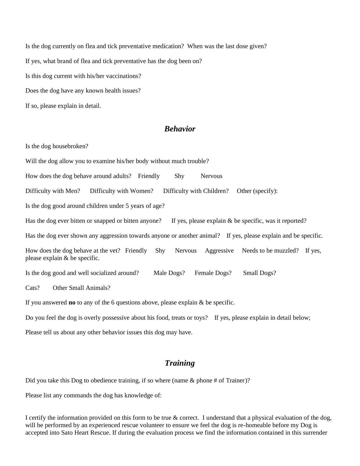Is the dog currently on flea and tick preventative medication? When was the last dose given? If yes, what brand of flea and tick preventative has the dog been on? Is this dog current with his/her vaccinations? Does the dog have any known health issues? If so, please explain in detail.

#### *Behavior*

Is the dog housebroken?

Will the dog allow you to examine his/her body without much trouble? How does the dog behave around adults? Friendly Shy Nervous Difficulty with Men? Difficulty with Women? Difficulty with Children? Other (specify): Is the dog good around children under 5 years of age? Has the dog ever bitten or snapped or bitten anyone? If yes, please explain  $\&$  be specific, was it reported? Has the dog ever shown any aggression towards anyone or another animal? If yes, please explain and be specific. How does the dog behave at the vet? Friendly Shy Nervous Aggressive Needs to be muzzled? If yes, please explain & be specific. Is the dog good and well socialized around? Male Dogs? Female Dogs? Small Dogs? Cats? Other Small Animals?

If you answered **no** to any of the 6 questions above, please explain & be specific.

Do you feel the dog is overly possessive about his food, treats or toys? If yes, please explain in detail below;

Please tell us about any other behavior issues this dog may have.

### *Training*

Did you take this Dog to obedience training, if so where (name  $\&$  phone # of Trainer)?

Please list any commands the dog has knowledge of:

I certify the information provided on this form to be true & correct. I understand that a physical evaluation of the dog, will be performed by an experienced rescue volunteer to ensure we feel the dog is re-homeable before my Dog is accepted into Sato Heart Rescue. If during the evaluation process we find the information contained in this surrender